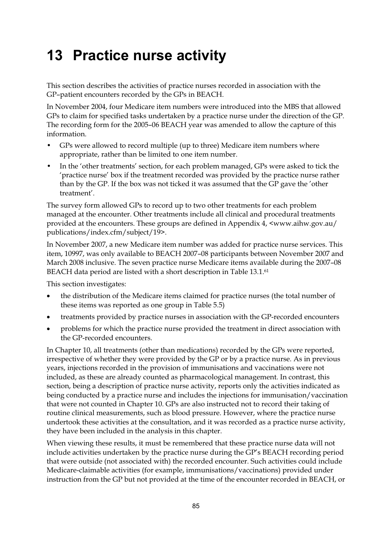# **13 Practice nurse activity**

This section describes the activities of practice nurses recorded in association with the GP–patient encounters recorded by the GPs in BEACH.

In November 2004, four Medicare item numbers were introduced into the MBS that allowed GPs to claim for specified tasks undertaken by a practice nurse under the direction of the GP. The recording form for the 2005–06 BEACH year was amended to allow the capture of this information.

- GPs were allowed to record multiple (up to three) Medicare item numbers where appropriate, rather than be limited to one item number.
- In the 'other treatments' section, for each problem managed, GPs were asked to tick the 'practice nurse' box if the treatment recorded was provided by the practice nurse rather than by the GP. If the box was not ticked it was assumed that the GP gave the 'other treatment'.

The survey form allowed GPs to record up to two other treatments for each problem managed at the encounter. Other treatments include all clinical and procedural treatments provided at the encounters. These groups are defined in Appendix 4, <www.aihw.gov.au/ publications/index.cfm/subject/19>.

In November 2007, a new Medicare item number was added for practice nurse services. This item, 10997, was only available to BEACH 2007–08 participants between November 2007 and March 2008 inclusive. The seven practice nurse Medicare items available during the 2007–08 BEACH data period are listed with a short description in Table 13.1.61

This section investigates:

- $\bullet$  the distribution of the Medicare items claimed for practice nurses (the total number of these items was reported as one group in Table 5.5)
- $\bullet$ treatments provided by practice nurses in association with the GP-recorded encounters
- problems for which the practice nurse provided the treatment in direct association with the GP-recorded encounters.

In Chapter 10, all treatments (other than medications) recorded by the GPs were reported, irrespective of whether they were provided by the GP or by a practice nurse. As in previous years, injections recorded in the provision of immunisations and vaccinations were not included, as these are already counted as pharmacological management. In contrast, this section, being a description of practice nurse activity, reports only the activities indicated as being conducted by a practice nurse and includes the injections for immunisation/vaccination that were not counted in Chapter 10. GPs are also instructed not to record their taking of routine clinical measurements, such as blood pressure. However, where the practice nurse undertook these activities at the consultation, and it was recorded as a practice nurse activity, they have been included in the analysis in this chapter.

When viewing these results, it must be remembered that these practice nurse data will not include activities undertaken by the practice nurse during the GP's BEACH recording period that were outside (not associated with) the recorded encounter. Such activities could include Medicare-claimable activities (for example, immunisations/vaccinations) provided under instruction from the GP but not provided at the time of the encounter recorded in BEACH, or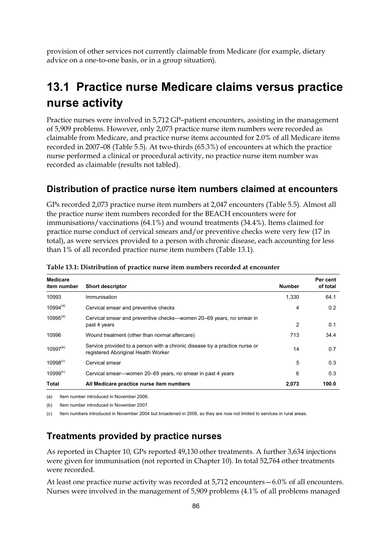provision of other services not currently claimable from Medicare (for example, dietary advice on a one-to-one basis, or in a group situation).

## **13.1 Practice nurse Medicare claims versus practice nurse activity**

Practice nurses were involved in 5,712 GP–patient encounters, assisting in the management of 5,909 problems. However, only 2,073 practice nurse item numbers were recorded as claimable from Medicare, and practice nurse items accounted for 2.0% of all Medicare items recorded in 2007–08 (Table 5.5). At two-thirds (65.3%) of encounters at which the practice nurse performed a clinical or procedural activity, no practice nurse item number was recorded as claimable (results not tabled).

### **Distribution of practice nurse item numbers claimed at encounters**

GPs recorded 2,073 practice nurse item numbers at 2,047 encounters (Table 5.5). Almost all the practice nurse item numbers recorded for the BEACH encounters were for immunisations/vaccinations (64.1%) and wound treatments (34.4%). Items claimed for practice nurse conduct of cervical smears and/or preventive checks were very few (17 in total), as were services provided to a person with chronic disease, each accounting for less than 1% of all recorded practice nurse item numbers (Table 13.1).

| <b>Medicare</b><br>item number | <b>Short descriptor</b>                                                                                           | <b>Number</b> | Per cent<br>of total |
|--------------------------------|-------------------------------------------------------------------------------------------------------------------|---------------|----------------------|
| 10993                          | Immunisation                                                                                                      | 1,330         | 64.1                 |
| $10994^{(a)}$                  | Cervical smear and preventive checks                                                                              | 4             | 0.2                  |
| $10995^{(a)}$                  | Cervical smear and preventive checks—women 20–69 years, no smear in<br>past 4 years                               | 2             | 0.1                  |
| 10996                          | Wound treatment (other than normal aftercare)                                                                     | 713           | 34.4                 |
| $10997^{(b)}$                  | Service provided to a person with a chronic disease by a practice nurse or<br>registered Aboriginal Health Worker | 14            | 0.7                  |
| $10998^{(c)}$                  | Cervical smear                                                                                                    | 5             | 0.3                  |
| $10999^{(c)}$                  | Cervical smear—women 20–69 years, no smear in past 4 years                                                        | 6             | 0.3                  |
| Total                          | All Medicare practice nurse item numbers                                                                          | 2,073         | 100.0                |

**Table 13.1: Distribution of practice nurse item numbers recorded at encounter** 

(a) Item number introduced in November 2006.

(b) Item number introduced in November 2007.

(c) Item numbers introduced in November 2004 but broadened in 2006, so they are now not limited to services in rural areas.

## **Treatments provided by practice nurses**

As reported in Chapter 10, GPs reported 49,130 other treatments. A further 3,634 injections were given for immunisation (not reported in Chapter 10). In total 52,764 other treatments were recorded.

At least one practice nurse activity was recorded at 5,712 encounters—6.0% of all encounters. Nurses were involved in the management of 5,909 problems (4.1% of all problems managed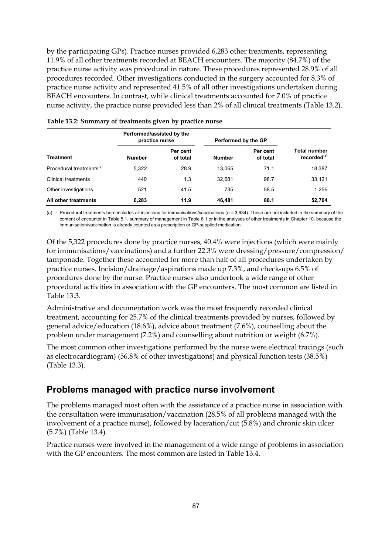by the participating GPs). Practice nurses provided 6,283 other treatments, representing 11.9% of all other treatments recorded at BEACH encounters. The majority (84.7%) of the practice nurse activity was procedural in nature. These procedures represented 28.9% of all procedures recorded. Other investigations conducted in the surgery accounted for 8.3% of practice nurse activity and represented 41.5% of all other investigations undertaken during BEACH encounters. In contrast, while clinical treatments accounted for 7.0% of practice nurse activity, the practice nurse provided less than 2% of all clinical treatments (Table 13.2).

|                                      | Performed/assisted by the<br>practice nurse |                      | Performed by the GP |                      |                                                |  |
|--------------------------------------|---------------------------------------------|----------------------|---------------------|----------------------|------------------------------------------------|--|
| <b>Treatment</b>                     | <b>Number</b>                               | Per cent<br>of total | <b>Number</b>       | Per cent<br>of total | <b>Total number</b><br>recorded <sup>(a)</sup> |  |
| Procedural treatments <sup>(a)</sup> | 5,322                                       | 28.9                 | 13,065              | 71.1                 | 18,387                                         |  |
| Clinical treatments                  | 440                                         | 1.3                  | 32.681              | 98.7                 | 33,121                                         |  |
| Other investigations                 | 521                                         | 41.5                 | 735                 | 58.5                 | 1,256                                          |  |
| All other treatments                 | 6,283                                       | 11.9                 | 46.481              | 88.1                 | 52,764                                         |  |

#### **Table 13.2: Summary of treatments given by practice nurse**

(a) Procedural treatments here includes all injections for immunisations/vaccinations (*n =* 3,634). These are not included in the summary of the content of encounter in Table 5.1, summary of management in Table 8.1 or in the analyses of other treatments in Chapter 10, because the immunisation/vaccination is already counted as a prescription or GP-supplied medication.

Of the 5,322 procedures done by practice nurses, 40.4% were injections (which were mainly for immunisations/vaccinations) and a further 22.3% were dressing/pressure/compression/ tamponade. Together these accounted for more than half of all procedures undertaken by practice nurses. Incision/drainage/aspirations made up 7.3%, and check-ups 6.5% of procedures done by the nurse. Practice nurses also undertook a wide range of other procedural activities in association with the GP encounters. The most common are listed in Table 13.3.

Administrative and documentation work was the most frequently recorded clinical treatment, accounting for 25.7% of the clinical treatments provided by nurses, followed by general advice/education (18.6%), advice about treatment (7.6%), counselling about the problem under management (7.2%) and counselling about nutrition or weight (6.7%).

The most common other investigations performed by the nurse were electrical tracings (such as electrocardiogram) (56.8% of other investigations) and physical function tests (38.5%) (Table 13.3).

## **Problems managed with practice nurse involvement**

The problems managed most often with the assistance of a practice nurse in association with the consultation were immunisation/vaccination (28.5% of all problems managed with the involvement of a practice nurse), followed by laceration/cut (5.8%) and chronic skin ulcer (5.7%) (Table 13.4).

Practice nurses were involved in the management of a wide range of problems in association with the GP encounters. The most common are listed in Table 13.4.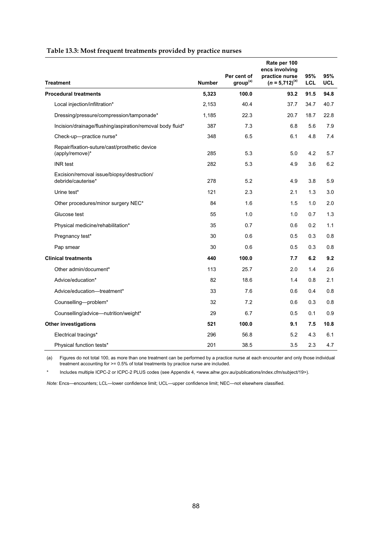|                                                                  |               |                                     | Rate per 100<br>encs involving        |                   |             |
|------------------------------------------------------------------|---------------|-------------------------------------|---------------------------------------|-------------------|-------------|
| <b>Treatment</b>                                                 | <b>Number</b> | Per cent of<br>group <sup>(a)</sup> | practice nurse<br>$(n = 5,712)^{(a)}$ | 95%<br><b>LCL</b> | 95%<br>UCL. |
| <b>Procedural treatments</b>                                     | 5,323         | 100.0                               | 93.2                                  | 91.5              | 94.8        |
| Local injection/infiltration*                                    | 2,153         | 40.4                                | 37.7                                  | 34.7              | 40.7        |
| Dressing/pressure/compression/tamponade*                         | 1,185         | 22.3                                | 20.7                                  | 18.7              | 22.8        |
| Incision/drainage/flushing/aspiration/removal body fluid*        | 387           | 7.3                                 | 6.8                                   | 5.6               | 7.9         |
| Check-up-practice nurse*                                         | 348           | 6.5                                 | 6.1                                   | 4.8               | 7.4         |
| Repair/fixation-suture/cast/prosthetic device<br>(apply/remove)* | 285           | 5.3                                 | 5.0                                   | 4.2               | 5.7         |
| <b>INR</b> test                                                  | 282           | 5.3                                 | 4.9                                   | 3.6               | 6.2         |
| Excision/removal issue/biopsy/destruction/<br>debride/cauterise* | 278           | 5.2                                 | 4.9                                   | 3.8               | 5.9         |
| Urine test*                                                      | 121           | 2.3                                 | 2.1                                   | 1.3               | 3.0         |
| Other procedures/minor surgery NEC*                              | 84            | 1.6                                 | 1.5                                   | 1.0               | 2.0         |
| Glucose test                                                     | 55            | 1.0                                 | 1.0                                   | 0.7               | 1.3         |
| Physical medicine/rehabilitation*                                | 35            | 0.7                                 | 0.6                                   | 0.2               | 1.1         |
| Pregnancy test*                                                  | 30            | 0.6                                 | 0.5                                   | 0.3               | 0.8         |
| Pap smear                                                        | 30            | 0.6                                 | 0.5                                   | 0.3               | 0.8         |
| <b>Clinical treatments</b>                                       | 440           | 100.0                               | 7.7                                   | 6.2               | 9.2         |
| Other admin/document*                                            | 113           | 25.7                                | 2.0                                   | 1.4               | 2.6         |
| Advice/education*                                                | 82            | 18.6                                | 1.4                                   | 0.8               | 2.1         |
| Advice/education-treatment*                                      | 33            | 7.6                                 | 0.6                                   | 0.4               | 0.8         |
| Counselling-problem*                                             | 32            | 7.2                                 | 0.6                                   | 0.3               | 0.8         |
| Counselling/advice-nutrition/weight*                             | 29            | 6.7                                 | 0.5                                   | 0.1               | 0.9         |
| <b>Other investigations</b>                                      | 521           | 100.0                               | 9.1                                   | 7.5               | 10.8        |
| Electrical tracings*                                             | 296           | 56.8                                | 5.2                                   | 4.3               | 6.1         |
| Physical function tests*                                         | 201           | 38.5                                | 3.5                                   | 2.3               | 4.7         |

(a) Figures do not total 100, as more than one treatment can be performed by a practice nurse at each encounter and only those individual treatment accounting for >= 0.5% of total treatments by practice nurse are included.

\* Includes multiple ICPC-2 or ICPC-2 PLUS codes (see Appendix 4, <www.aihw.gov.au/publications/index.cfm/subject/19>).

*Note:* Encs—encounters; LCL—lower confidence limit; UCL—upper confidence limit; NEC—not elsewhere classified.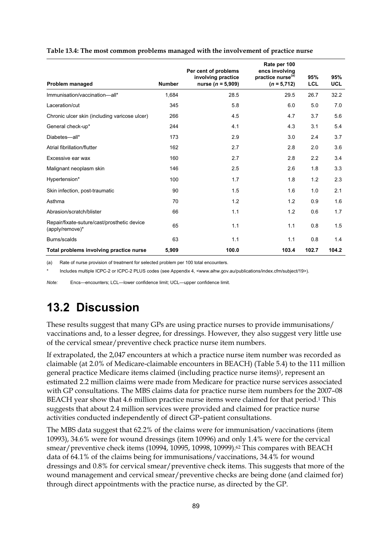|                                                                |               | Per cent of problems                        | Rate per 100<br>encs involving                 |                   |                   |
|----------------------------------------------------------------|---------------|---------------------------------------------|------------------------------------------------|-------------------|-------------------|
| Problem managed                                                | <b>Number</b> | involving practice<br>nurse ( $n = 5,909$ ) | practice nurse <sup>(a)</sup><br>$(n = 5,712)$ | 95%<br><b>LCL</b> | 95%<br><b>UCL</b> |
| Immunisation/vaccination-all*                                  | 1,684         | 28.5                                        | 29.5                                           | 26.7              | 32.2              |
| Laceration/cut                                                 | 345           | 5.8                                         | 6.0                                            | 5.0               | 7.0               |
| Chronic ulcer skin (including varicose ulcer)                  | 266           | 4.5                                         | 4.7                                            | 3.7               | 5.6               |
| General check-up*                                              | 244           | 4.1                                         | 4.3                                            | 3.1               | 5.4               |
| Diabetes-all*                                                  | 173           | 2.9                                         | 3.0                                            | 2.4               | 3.7               |
| Atrial fibrillation/flutter                                    | 162           | 2.7                                         | 2.8                                            | 2.0               | 3.6               |
| Excessive ear wax                                              | 160           | 2.7                                         | 2.8                                            | 2.2               | 3.4               |
| Malignant neoplasm skin                                        | 146           | 2.5                                         | 2.6                                            | 1.8               | 3.3               |
| Hypertension*                                                  | 100           | 1.7                                         | 1.8                                            | 1.2               | 2.3               |
| Skin infection, post-traumatic                                 | 90            | 1.5                                         | 1.6                                            | 1.0               | 2.1               |
| Asthma                                                         | 70            | 1.2                                         | 1.2                                            | 0.9               | 1.6               |
| Abrasion/scratch/blister                                       | 66            | 1.1                                         | 1.2                                            | 0.6               | 1.7               |
| Repair/fixate-suture/cast/prosthetic device<br>(apply/remove)* | 65            | 1.1                                         | 1.1                                            | 0.8               | 1.5               |
| Burns/scalds                                                   | 63            | 1.1                                         | 1.1                                            | 0.8               | 1.4               |
| Total problems involving practice nurse                        | 5,909         | 100.0                                       | 103.4                                          | 102.7             | 104.2             |

#### **Table 13.4: The most common problems managed with the involvement of practice nurse**

(a) Rate of nurse provision of treatment for selected problem per 100 total encounters.

Includes multiple ICPC-2 or ICPC-2 PLUS codes (see Appendix 4, <www.aihw.gov.au/publications/index.cfm/subject/19>).

*Note:* Encs—encounters; LCL—lower confidence limit; UCL—upper confidence limit.

## **13.2 Discussion**

These results suggest that many GPs are using practice nurses to provide immunisations/ vaccinations and, to a lesser degree, for dressings. However, they also suggest very little use of the cervical smear/preventive check practice nurse item numbers.

If extrapolated, the 2,047 encounters at which a practice nurse item number was recorded as claimable (at 2.0% of Medicare-claimable encounters in BEACH) (Table 5.4) to the 111 million general practice Medicare items claimed (including practice nurse items)<sup>1</sup>, represent an estimated 2.2 million claims were made from Medicare for practice nurse services associated with GP consultations. The MBS claims data for practice nurse item numbers for the 2007–08 BEACH year show that 4.6 million practice nurse items were claimed for that period.<sup>1</sup> This suggests that about 2.4 million services were provided and claimed for practice nurse activities conducted independently of direct GP–patient consultations.

The MBS data suggest that 62.2% of the claims were for immunisation/vaccinations (item 10993), 34.6% were for wound dressings (item 10996) and only 1.4% were for the cervical smear/preventive check items (10994, 10995, 10998, 10999).<sup>62</sup> This compares with BEACH data of 64.1% of the claims being for immunisations/vaccinations, 34.4% for wound dressings and 0.8% for cervical smear/preventive check items. This suggests that more of the wound management and cervical smear/preventive checks are being done (and claimed for) through direct appointments with the practice nurse, as directed by the GP.